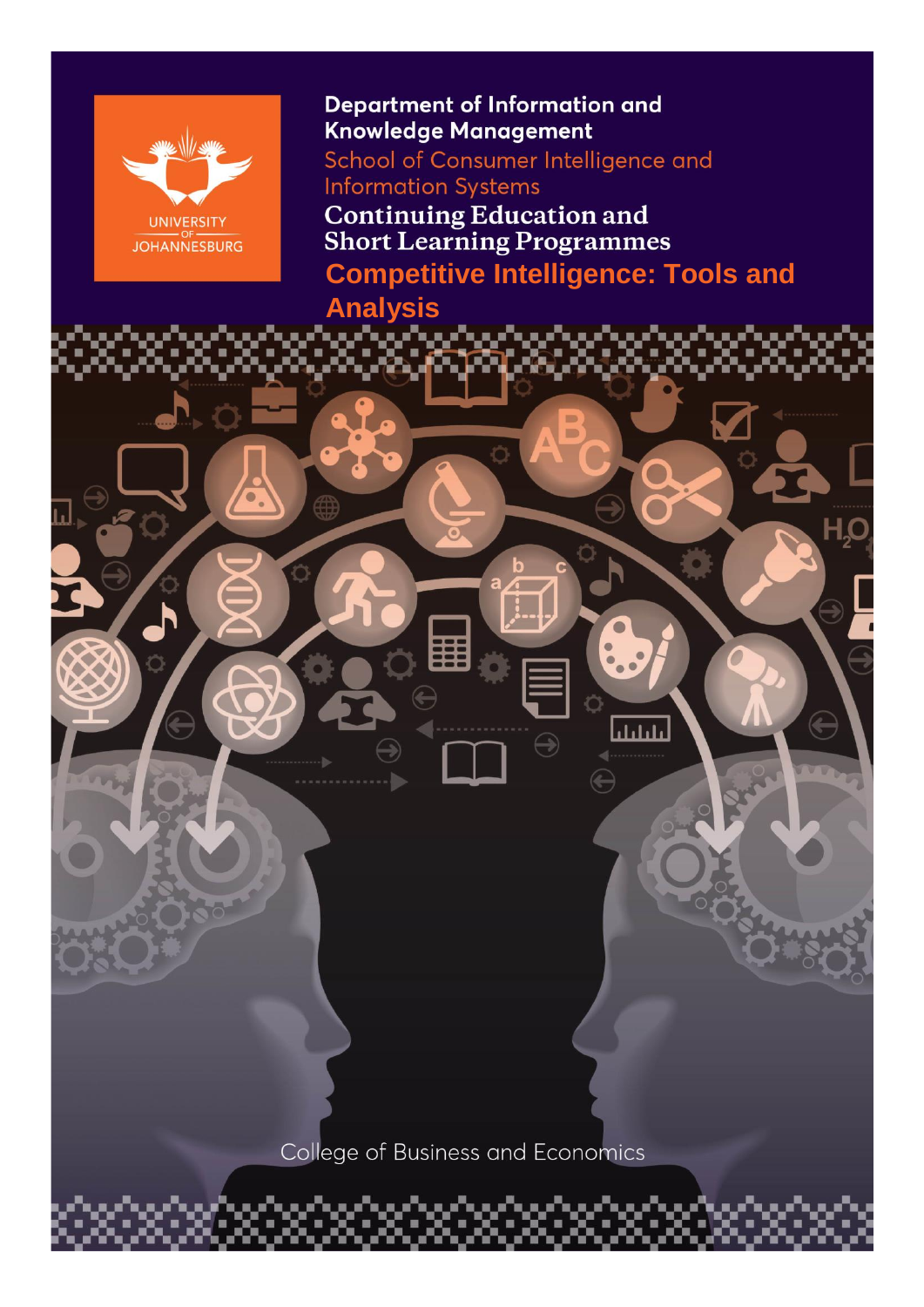

### **Department of Information and** Knowledge Management

School of Consumer Intelligence and **Information Systems** 

**Continuing Education and<br>Short Learning Programmes** 

**Competitive Intelligence: Tools and** 

بليليان

# **Analysis**

College of Business and Economics